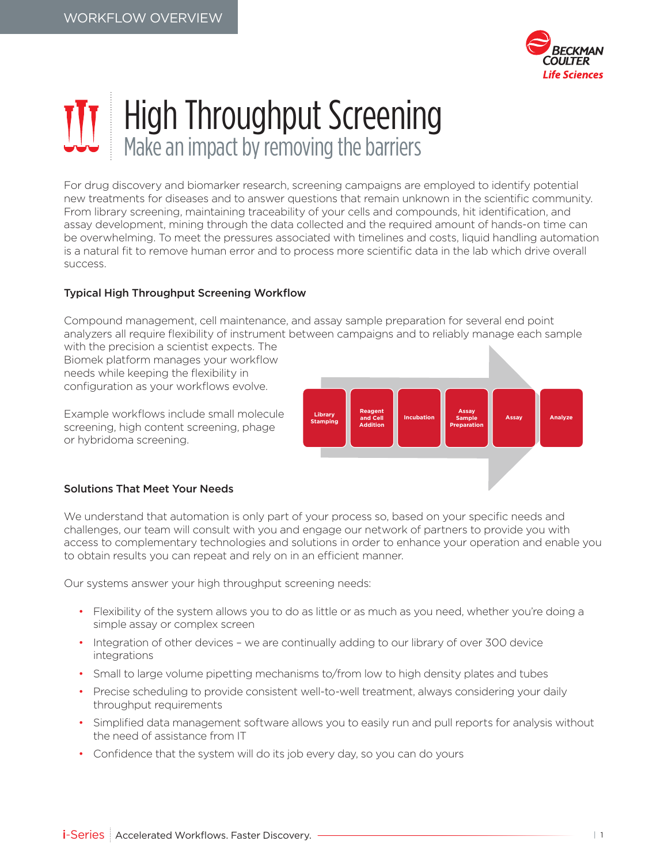

## High Throughput Screening Make an impact by removing the barriers

For drug discovery and biomarker research, screening campaigns are employed to identify potential new treatments for diseases and to answer questions that remain unknown in the scientific community. From library screening, maintaining traceability of your cells and compounds, hit identification, and assay development, mining through the data collected and the required amount of hands-on time can be overwhelming. To meet the pressures associated with timelines and costs, liquid handling automation is a natural fit to remove human error and to process more scientific data in the lab which drive overall success.

## Typical High Throughput Screening Workflow

Compound management, cell maintenance, and assay sample preparation for several end point analyzers all require flexibility of instrument between campaigns and to reliably manage each sample

with the precision a scientist expects. The Biomek platform manages your workflow needs while keeping the flexibility in configuration as your workflows evolve.

Example workflows include small molecule screening, high content screening, phage or hybridoma screening.



## Solutions That Meet Your Needs

We understand that automation is only part of your process so, based on your specific needs and challenges, our team will consult with you and engage our network of partners to provide you with access to complementary technologies and solutions in order to enhance your operation and enable you to obtain results you can repeat and rely on in an efficient manner.

Our systems answer your high throughput screening needs:

- Flexibility of the system allows you to do as little or as much as you need, whether you're doing a simple assay or complex screen
- Integration of other devices we are continually adding to our library of over 300 device integrations
- Small to large volume pipetting mechanisms to/from low to high density plates and tubes
- Precise scheduling to provide consistent well-to-well treatment, always considering your daily throughput requirements
- Simplified data management software allows you to easily run and pull reports for analysis without the need of assistance from IT
- Confidence that the system will do its job every day, so you can do yours